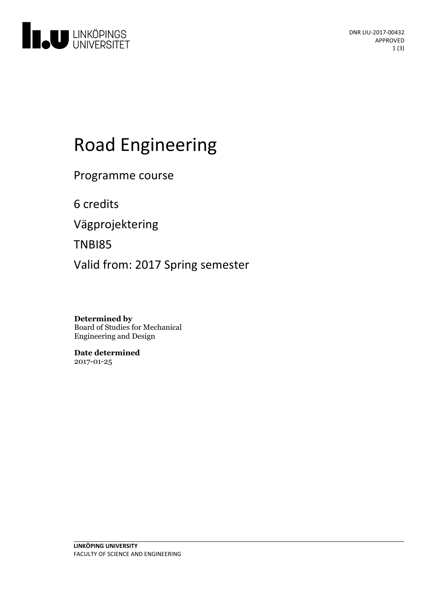

# Road Engineering

Programme course

6 credits

Vägprojektering

TNBI85

Valid from: 2017 Spring semester

**Determined by** Board of Studies for Mechanical Engineering and Design

**Date determined** 2017-01-25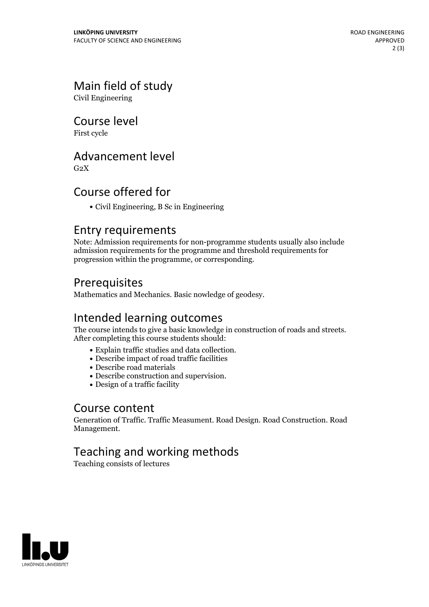# Main field of study

Civil Engineering

Course level

First cycle

#### Advancement level

 $G<sub>2</sub>X$ 

# Course offered for

Civil Engineering, B Sc in Engineering

#### Entry requirements

Note: Admission requirements for non-programme students usually also include admission requirements for the programme and threshold requirements for progression within the programme, or corresponding.

# Prerequisites

Mathematics and Mechanics. Basic nowledge of geodesy.

#### Intended learning outcomes

The course intends to give <sup>a</sup> basic knowledge in construction of roads and streets. After completing this course students should:

- Explain traffic studies and data collection. Describe impact of road traffic facilities
- 
- Describe road materials
- Describe construction and supervision. Design of <sup>a</sup> traffic facility
- 

#### Course content

Generation of Traffic. Traffic Measument. Road Design. Road Construction. Road Management.

# Teaching and working methods

Teaching consists of lectures